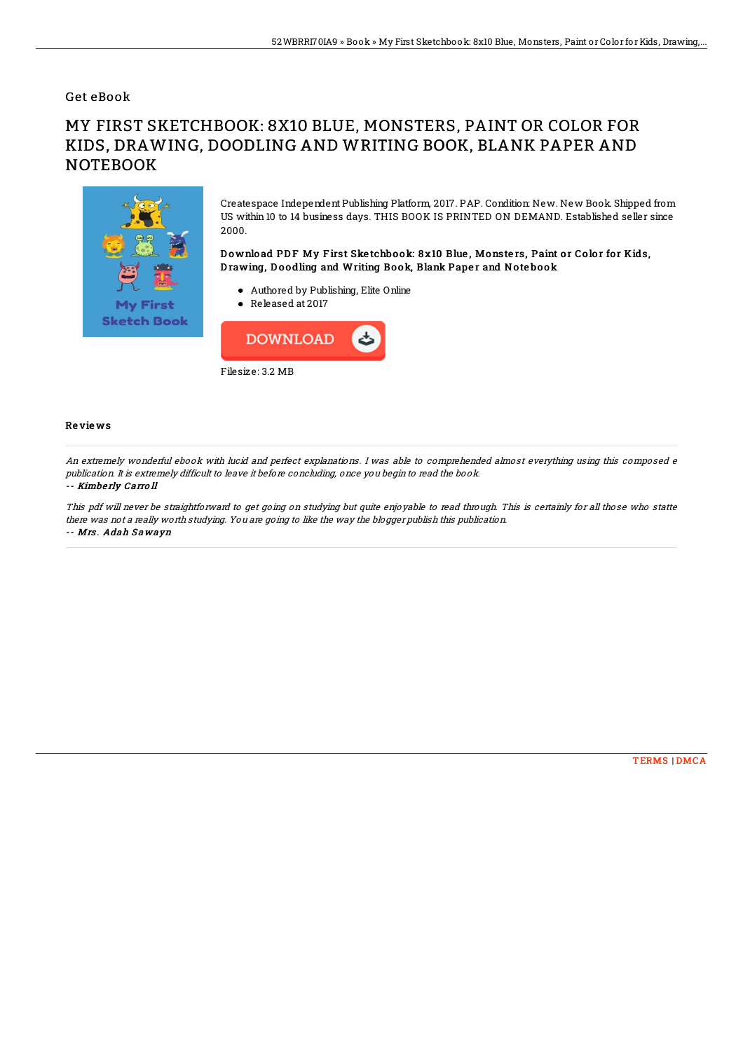### Get eBook

# MY FIRST SKETCHBOOK: 8X10 BLUE, MONSTERS, PAINT OR COLOR FOR KIDS, DRAWING, DOODLING AND WRITING BOOK, BLANK PAPER AND **NOTEBOOK**



Createspace Independent Publishing Platform, 2017. PAP. Condition: New. New Book. Shipped from US within 10 to 14 business days. THIS BOOK IS PRINTED ON DEMAND. Established seller since 2000.

Download PDF My First Sketchbook: 8x10 Blue, Monsters, Paint or Color for Kids, D rawing, Doodling and Writing Book, Blank Paper and Notebook

- Authored by Publishing, Elite Online
- Released at 2017



#### Re vie ws

An extremely wonderful ebook with lucid and perfect explanations. I was able to comprehended almost everything using this composed <sup>e</sup> publication. It is extremely difficult to leave it before concluding, once you begin to read the book.

#### -- Kimbe rly Carro ll

This pdf will never be straightforward to get going on studying but quite enjoyable to read through. This is certainly for all those who statte there was not <sup>a</sup> really worth studying. You are going to like the way the blogger publish this publication. -- Mrs. Adah Sawayn